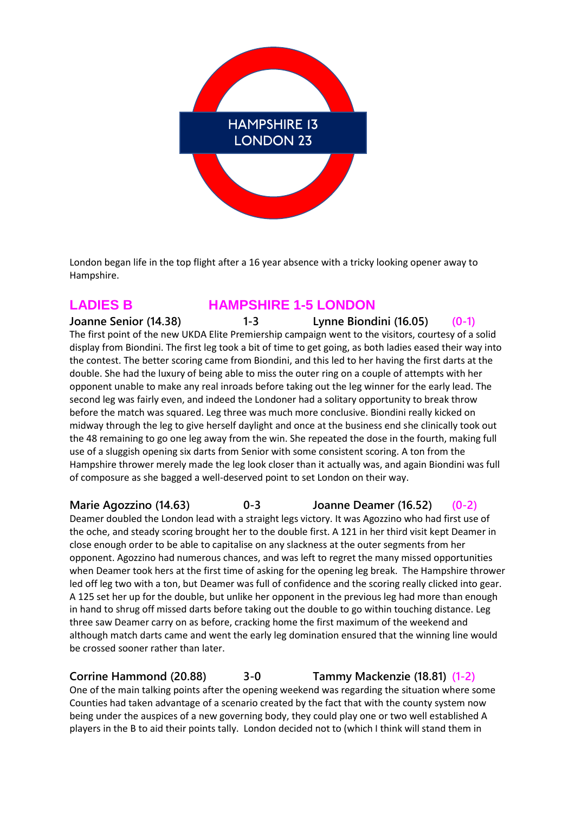

London began life in the top flight after a 16 year absence with a tricky looking opener away to Hampshire.

### **LADIES B HAMPSHIRE 1-5 LONDON**

**Joanne Senior (14.38) 1-3 Lynne Biondini (16.05) (0-1)** The first point of the new UKDA Elite Premiership campaign went to the visitors, courtesy of a solid display from Biondini. The first leg took a bit of time to get going, as both ladies eased their way into the contest. The better scoring came from Biondini, and this led to her having the first darts at the double. She had the luxury of being able to miss the outer ring on a couple of attempts with her opponent unable to make any real inroads before taking out the leg winner for the early lead. The second leg was fairly even, and indeed the Londoner had a solitary opportunity to break throw before the match was squared. Leg three was much more conclusive. Biondini really kicked on midway through the leg to give herself daylight and once at the business end she clinically took out the 48 remaining to go one leg away from the win. She repeated the dose in the fourth, making full use of a sluggish opening six darts from Senior with some consistent scoring. A ton from the Hampshire thrower merely made the leg look closer than it actually was, and again Biondini was full of composure as she bagged a well-deserved point to set London on their way.

**Marie Agozzino (14.63) 0-3 Joanne Deamer (16.52) (0-2)**

Deamer doubled the London lead with a straight legs victory. It was Agozzino who had first use of the oche, and steady scoring brought her to the double first. A 121 in her third visit kept Deamer in close enough order to be able to capitalise on any slackness at the outer segments from her opponent. Agozzino had numerous chances, and was left to regret the many missed opportunities when Deamer took hers at the first time of asking for the opening leg break. The Hampshire thrower led off leg two with a ton, but Deamer was full of confidence and the scoring really clicked into gear. A 125 set her up for the double, but unlike her opponent in the previous leg had more than enough in hand to shrug off missed darts before taking out the double to go within touching distance. Leg three saw Deamer carry on as before, cracking home the first maximum of the weekend and although match darts came and went the early leg domination ensured that the winning line would be crossed sooner rather than later.

**Corrine Hammond (20.88) 3-0 Tammy Mackenzie (18.81) (1-2)**

One of the main talking points after the opening weekend was regarding the situation where some Counties had taken advantage of a scenario created by the fact that with the county system now being under the auspices of a new governing body, they could play one or two well established A players in the B to aid their points tally. London decided not to (which I think will stand them in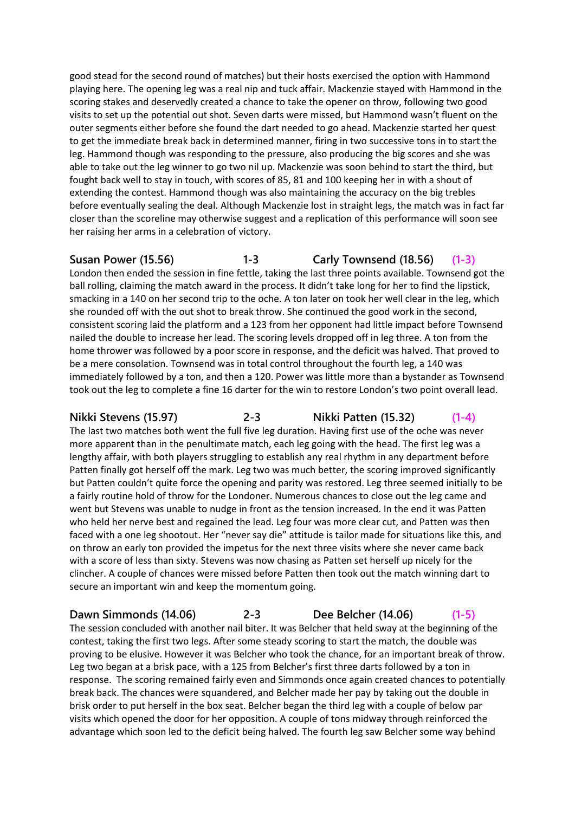good stead for the second round of matches) but their hosts exercised the option with Hammond playing here. The opening leg was a real nip and tuck affair. Mackenzie stayed with Hammond in the scoring stakes and deservedly created a chance to take the opener on throw, following two good visits to set up the potential out shot. Seven darts were missed, but Hammond wasn't fluent on the outer segments either before she found the dart needed to go ahead. Mackenzie started her quest to get the immediate break back in determined manner, firing in two successive tons in to start the leg. Hammond though was responding to the pressure, also producing the big scores and she was able to take out the leg winner to go two nil up. Mackenzie was soon behind to start the third, but fought back well to stay in touch, with scores of 85, 81 and 100 keeping her in with a shout of extending the contest. Hammond though was also maintaining the accuracy on the big trebles before eventually sealing the deal. Although Mackenzie lost in straight legs, the match was in fact far closer than the scoreline may otherwise suggest and a replication of this performance will soon see her raising her arms in a celebration of victory.

# **Susan Power (15.56) 1-3 Carly Townsend (18.56) (1-3)**

London then ended the session in fine fettle, taking the last three points available. Townsend got the ball rolling, claiming the match award in the process. It didn't take long for her to find the lipstick, smacking in a 140 on her second trip to the oche. A ton later on took her well clear in the leg, which she rounded off with the out shot to break throw. She continued the good work in the second, consistent scoring laid the platform and a 123 from her opponent had little impact before Townsend nailed the double to increase her lead. The scoring levels dropped off in leg three. A ton from the home thrower was followed by a poor score in response, and the deficit was halved. That proved to be a mere consolation. Townsend was in total control throughout the fourth leg, a 140 was immediately followed by a ton, and then a 120. Power was little more than a bystander as Townsend took out the leg to complete a fine 16 darter for the win to restore London's two point overall lead.

**Nikki Stevens (15.97) 2-3 Nikki Patten (15.32) (1-4)** The last two matches both went the full five leg duration. Having first use of the oche was never more apparent than in the penultimate match, each leg going with the head. The first leg was a lengthy affair, with both players struggling to establish any real rhythm in any department before Patten finally got herself off the mark. Leg two was much better, the scoring improved significantly but Patten couldn't quite force the opening and parity was restored. Leg three seemed initially to be a fairly routine hold of throw for the Londoner. Numerous chances to close out the leg came and went but Stevens was unable to nudge in front as the tension increased. In the end it was Patten who held her nerve best and regained the lead. Leg four was more clear cut, and Patten was then faced with a one leg shootout. Her "never say die" attitude is tailor made for situations like this, and on throw an early ton provided the impetus for the next three visits where she never came back with a score of less than sixty. Stevens was now chasing as Patten set herself up nicely for the clincher. A couple of chances were missed before Patten then took out the match winning dart to secure an important win and keep the momentum going.

#### **Dawn Simmonds (14.06) 2-3 Dee Belcher (14.06) (1-5)**

The session concluded with another nail biter. It was Belcher that held sway at the beginning of the contest, taking the first two legs. After some steady scoring to start the match, the double was proving to be elusive. However it was Belcher who took the chance, for an important break of throw. Leg two began at a brisk pace, with a 125 from Belcher's first three darts followed by a ton in response. The scoring remained fairly even and Simmonds once again created chances to potentially break back. The chances were squandered, and Belcher made her pay by taking out the double in brisk order to put herself in the box seat. Belcher began the third leg with a couple of below par visits which opened the door for her opposition. A couple of tons midway through reinforced the advantage which soon led to the deficit being halved. The fourth leg saw Belcher some way behind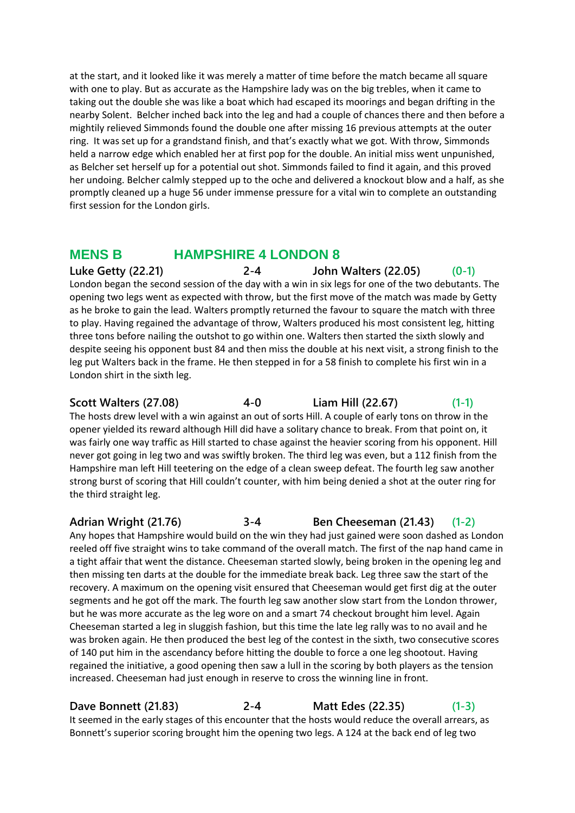at the start, and it looked like it was merely a matter of time before the match became all square with one to play. But as accurate as the Hampshire lady was on the big trebles, when it came to taking out the double she was like a boat which had escaped its moorings and began drifting in the nearby Solent. Belcher inched back into the leg and had a couple of chances there and then before a mightily relieved Simmonds found the double one after missing 16 previous attempts at the outer ring. It was set up for a grandstand finish, and that's exactly what we got. With throw, Simmonds held a narrow edge which enabled her at first pop for the double. An initial miss went unpunished, as Belcher set herself up for a potential out shot. Simmonds failed to find it again, and this proved her undoing. Belcher calmly stepped up to the oche and delivered a knockout blow and a half, as she promptly cleaned up a huge 56 under immense pressure for a vital win to complete an outstanding first session for the London girls.

# **MENS B HAMPSHIRE 4 LONDON 8**

**Luke Getty (22.21) 2-4 John Walters (22.05) (0-1)** London began the second session of the day with a win in six legs for one of the two debutants. The opening two legs went as expected with throw, but the first move of the match was made by Getty as he broke to gain the lead. Walters promptly returned the favour to square the match with three to play. Having regained the advantage of throw, Walters produced his most consistent leg, hitting three tons before nailing the outshot to go within one. Walters then started the sixth slowly and despite seeing his opponent bust 84 and then miss the double at his next visit, a strong finish to the leg put Walters back in the frame. He then stepped in for a 58 finish to complete his first win in a London shirt in the sixth leg.

**Scott Walters (27.08) 4-0 Liam Hill (22.67) (1-1)** The hosts drew level with a win against an out of sorts Hill. A couple of early tons on throw in the opener yielded its reward although Hill did have a solitary chance to break. From that point on, it was fairly one way traffic as Hill started to chase against the heavier scoring from his opponent. Hill never got going in leg two and was swiftly broken. The third leg was even, but a 112 finish from the Hampshire man left Hill teetering on the edge of a clean sweep defeat. The fourth leg saw another strong burst of scoring that Hill couldn't counter, with him being denied a shot at the outer ring for the third straight leg.

#### **Adrian Wright (21.76) 3-4 Ben Cheeseman (21.43) (1-2)**

Any hopes that Hampshire would build on the win they had just gained were soon dashed as London reeled off five straight wins to take command of the overall match. The first of the nap hand came in a tight affair that went the distance. Cheeseman started slowly, being broken in the opening leg and then missing ten darts at the double for the immediate break back. Leg three saw the start of the recovery. A maximum on the opening visit ensured that Cheeseman would get first dig at the outer segments and he got off the mark. The fourth leg saw another slow start from the London thrower, but he was more accurate as the leg wore on and a smart 74 checkout brought him level. Again Cheeseman started a leg in sluggish fashion, but this time the late leg rally was to no avail and he was broken again. He then produced the best leg of the contest in the sixth, two consecutive scores of 140 put him in the ascendancy before hitting the double to force a one leg shootout. Having regained the initiative, a good opening then saw a lull in the scoring by both players as the tension increased. Cheeseman had just enough in reserve to cross the winning line in front.

**Dave Bonnett (21.83) 2-4 Matt Edes (22.35) (1-3)** It seemed in the early stages of this encounter that the hosts would reduce the overall arrears, as

Bonnett's superior scoring brought him the opening two legs. A 124 at the back end of leg two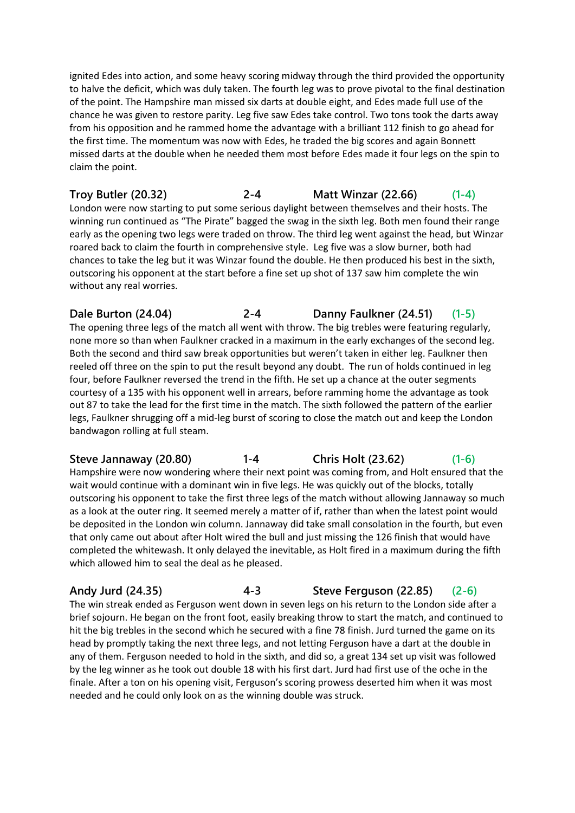ignited Edes into action, and some heavy scoring midway through the third provided the opportunity to halve the deficit, which was duly taken. The fourth leg was to prove pivotal to the final destination of the point. The Hampshire man missed six darts at double eight, and Edes made full use of the chance he was given to restore parity. Leg five saw Edes take control. Two tons took the darts away from his opposition and he rammed home the advantage with a brilliant 112 finish to go ahead for the first time. The momentum was now with Edes, he traded the big scores and again Bonnett missed darts at the double when he needed them most before Edes made it four legs on the spin to claim the point.

**Troy Butler (20.32) 2-4 Matt Winzar (22.66) (1-4)** London were now starting to put some serious daylight between themselves and their hosts. The winning run continued as "The Pirate" bagged the swag in the sixth leg. Both men found their range early as the opening two legs were traded on throw. The third leg went against the head, but Winzar roared back to claim the fourth in comprehensive style. Leg five was a slow burner, both had chances to take the leg but it was Winzar found the double. He then produced his best in the sixth, outscoring his opponent at the start before a fine set up shot of 137 saw him complete the win without any real worries.

**Dale Burton (24.04) 2-4 Danny Faulkner (24.51) (1-5)** The opening three legs of the match all went with throw. The big trebles were featuring regularly, none more so than when Faulkner cracked in a maximum in the early exchanges of the second leg. Both the second and third saw break opportunities but weren't taken in either leg. Faulkner then reeled off three on the spin to put the result beyond any doubt. The run of holds continued in leg four, before Faulkner reversed the trend in the fifth. He set up a chance at the outer segments courtesy of a 135 with his opponent well in arrears, before ramming home the advantage as took out 87 to take the lead for the first time in the match. The sixth followed the pattern of the earlier legs, Faulkner shrugging off a mid-leg burst of scoring to close the match out and keep the London bandwagon rolling at full steam.

**Steve Jannaway (20.80) 1-4 Chris Holt (23.62) (1-6)** Hampshire were now wondering where their next point was coming from, and Holt ensured that the wait would continue with a dominant win in five legs. He was quickly out of the blocks, totally outscoring his opponent to take the first three legs of the match without allowing Jannaway so much as a look at the outer ring. It seemed merely a matter of if, rather than when the latest point would be deposited in the London win column. Jannaway did take small consolation in the fourth, but even that only came out about after Holt wired the bull and just missing the 126 finish that would have completed the whitewash. It only delayed the inevitable, as Holt fired in a maximum during the fifth which allowed him to seal the deal as he pleased.

**Andy Jurd (24.35) 4-3 Steve Ferguson (22.85) (2-6)** The win streak ended as Ferguson went down in seven legs on his return to the London side after a brief sojourn. He began on the front foot, easily breaking throw to start the match, and continued to hit the big trebles in the second which he secured with a fine 78 finish. Jurd turned the game on its head by promptly taking the next three legs, and not letting Ferguson have a dart at the double in any of them. Ferguson needed to hold in the sixth, and did so, a great 134 set up visit was followed by the leg winner as he took out double 18 with his first dart. Jurd had first use of the oche in the finale. After a ton on his opening visit, Ferguson's scoring prowess deserted him when it was most needed and he could only look on as the winning double was struck.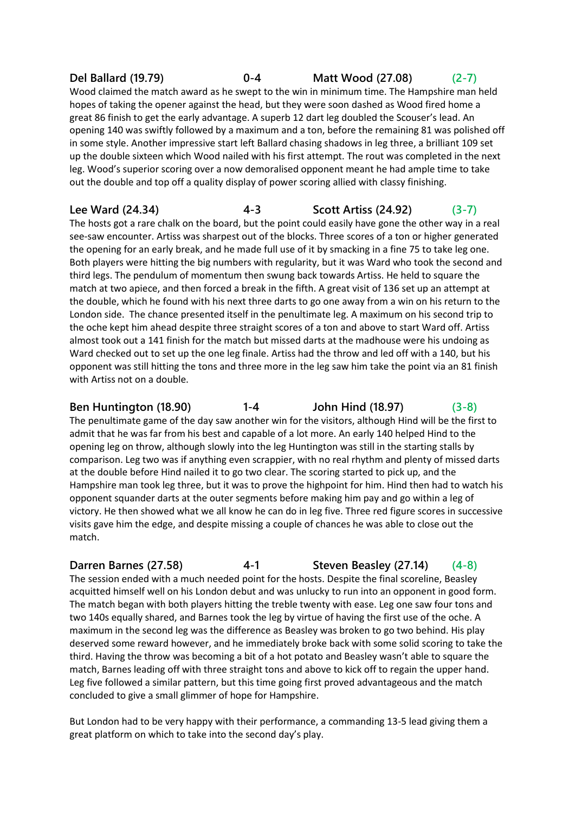# **Del Ballard (19.79) 0-4 Matt Wood (27.08) (2-7)**

Wood claimed the match award as he swept to the win in minimum time. The Hampshire man held hopes of taking the opener against the head, but they were soon dashed as Wood fired home a great 86 finish to get the early advantage. A superb 12 dart leg doubled the Scouser's lead. An opening 140 was swiftly followed by a maximum and a ton, before the remaining 81 was polished off in some style. Another impressive start left Ballard chasing shadows in leg three, a brilliant 109 set up the double sixteen which Wood nailed with his first attempt. The rout was completed in the next leg. Wood's superior scoring over a now demoralised opponent meant he had ample time to take out the double and top off a quality display of power scoring allied with classy finishing.

### **Lee Ward (24.34) 4-3 Scott Artiss (24.92) (3-7)**

The hosts got a rare chalk on the board, but the point could easily have gone the other way in a real see-saw encounter. Artiss was sharpest out of the blocks. Three scores of a ton or higher generated the opening for an early break, and he made full use of it by smacking in a fine 75 to take leg one. Both players were hitting the big numbers with regularity, but it was Ward who took the second and third legs. The pendulum of momentum then swung back towards Artiss. He held to square the match at two apiece, and then forced a break in the fifth. A great visit of 136 set up an attempt at the double, which he found with his next three darts to go one away from a win on his return to the London side. The chance presented itself in the penultimate leg. A maximum on his second trip to the oche kept him ahead despite three straight scores of a ton and above to start Ward off. Artiss almost took out a 141 finish for the match but missed darts at the madhouse were his undoing as Ward checked out to set up the one leg finale. Artiss had the throw and led off with a 140, but his opponent was still hitting the tons and three more in the leg saw him take the point via an 81 finish with Artiss not on a double.

# **Ben Huntington (18.90) 1-4 John Hind (18.97) (3-8)**

The penultimate game of the day saw another win for the visitors, although Hind will be the first to admit that he was far from his best and capable of a lot more. An early 140 helped Hind to the opening leg on throw, although slowly into the leg Huntington was still in the starting stalls by comparison. Leg two was if anything even scrappier, with no real rhythm and plenty of missed darts at the double before Hind nailed it to go two clear. The scoring started to pick up, and the Hampshire man took leg three, but it was to prove the highpoint for him. Hind then had to watch his opponent squander darts at the outer segments before making him pay and go within a leg of victory. He then showed what we all know he can do in leg five. Three red figure scores in successive visits gave him the edge, and despite missing a couple of chances he was able to close out the match.

### **Darren Barnes (27.58) 4-1 Steven Beasley (27.14) (4-8)**

The session ended with a much needed point for the hosts. Despite the final scoreline, Beasley acquitted himself well on his London debut and was unlucky to run into an opponent in good form. The match began with both players hitting the treble twenty with ease. Leg one saw four tons and two 140s equally shared, and Barnes took the leg by virtue of having the first use of the oche. A maximum in the second leg was the difference as Beasley was broken to go two behind. His play deserved some reward however, and he immediately broke back with some solid scoring to take the third. Having the throw was becoming a bit of a hot potato and Beasley wasn't able to square the match, Barnes leading off with three straight tons and above to kick off to regain the upper hand. Leg five followed a similar pattern, but this time going first proved advantageous and the match concluded to give a small glimmer of hope for Hampshire.

But London had to be very happy with their performance, a commanding 13-5 lead giving them a great platform on which to take into the second day's play.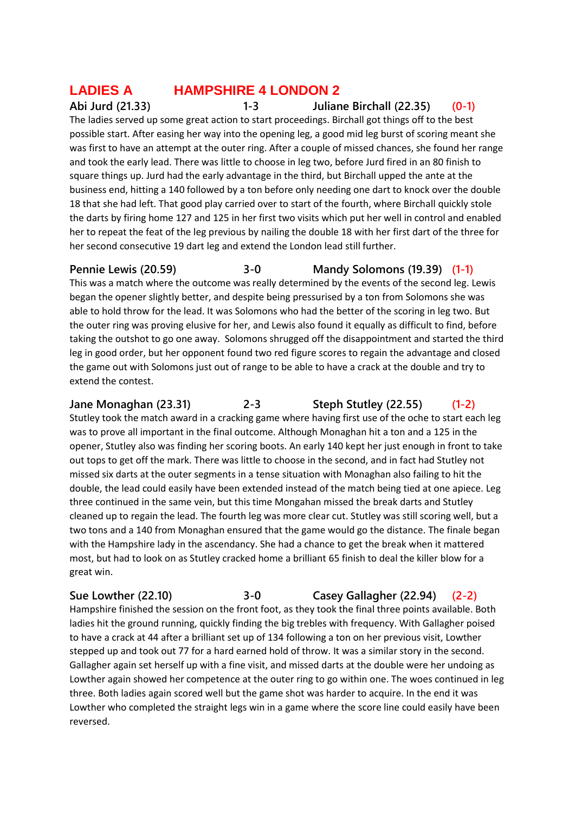# **LADIES A HAMPSHIRE 4 LONDON 2**

**Abi Jurd (21.33) 1-3 Juliane Birchall (22.35) (0-1)**

The ladies served up some great action to start proceedings. Birchall got things off to the best possible start. After easing her way into the opening leg, a good mid leg burst of scoring meant she was first to have an attempt at the outer ring. After a couple of missed chances, she found her range and took the early lead. There was little to choose in leg two, before Jurd fired in an 80 finish to square things up. Jurd had the early advantage in the third, but Birchall upped the ante at the business end, hitting a 140 followed by a ton before only needing one dart to knock over the double 18 that she had left. That good play carried over to start of the fourth, where Birchall quickly stole the darts by firing home 127 and 125 in her first two visits which put her well in control and enabled her to repeat the feat of the leg previous by nailing the double 18 with her first dart of the three for her second consecutive 19 dart leg and extend the London lead still further.

**Pennie Lewis (20.59) 3-0 Mandy Solomons (19.39) (1-1)**

This was a match where the outcome was really determined by the events of the second leg. Lewis began the opener slightly better, and despite being pressurised by a ton from Solomons she was able to hold throw for the lead. It was Solomons who had the better of the scoring in leg two. But the outer ring was proving elusive for her, and Lewis also found it equally as difficult to find, before taking the outshot to go one away. Solomons shrugged off the disappointment and started the third leg in good order, but her opponent found two red figure scores to regain the advantage and closed the game out with Solomons just out of range to be able to have a crack at the double and try to extend the contest.

**Jane Monaghan (23.31) 2-3 Steph Stutley (22.55) (1-2)**

Stutley took the match award in a cracking game where having first use of the oche to start each leg was to prove all important in the final outcome. Although Monaghan hit a ton and a 125 in the opener, Stutley also was finding her scoring boots. An early 140 kept her just enough in front to take out tops to get off the mark. There was little to choose in the second, and in fact had Stutley not missed six darts at the outer segments in a tense situation with Monaghan also failing to hit the double, the lead could easily have been extended instead of the match being tied at one apiece. Leg three continued in the same vein, but this time Mongahan missed the break darts and Stutley cleaned up to regain the lead. The fourth leg was more clear cut. Stutley was still scoring well, but a two tons and a 140 from Monaghan ensured that the game would go the distance. The finale began with the Hampshire lady in the ascendancy. She had a chance to get the break when it mattered most, but had to look on as Stutley cracked home a brilliant 65 finish to deal the killer blow for a great win.

**Sue Lowther (22.10) 3-0 Casey Gallagher (22.94) (2-2)** Hampshire finished the session on the front foot, as they took the final three points available. Both ladies hit the ground running, quickly finding the big trebles with frequency. With Gallagher poised to have a crack at 44 after a brilliant set up of 134 following a ton on her previous visit, Lowther stepped up and took out 77 for a hard earned hold of throw. It was a similar story in the second. Gallagher again set herself up with a fine visit, and missed darts at the double were her undoing as Lowther again showed her competence at the outer ring to go within one. The woes continued in leg three. Both ladies again scored well but the game shot was harder to acquire. In the end it was Lowther who completed the straight legs win in a game where the score line could easily have been reversed.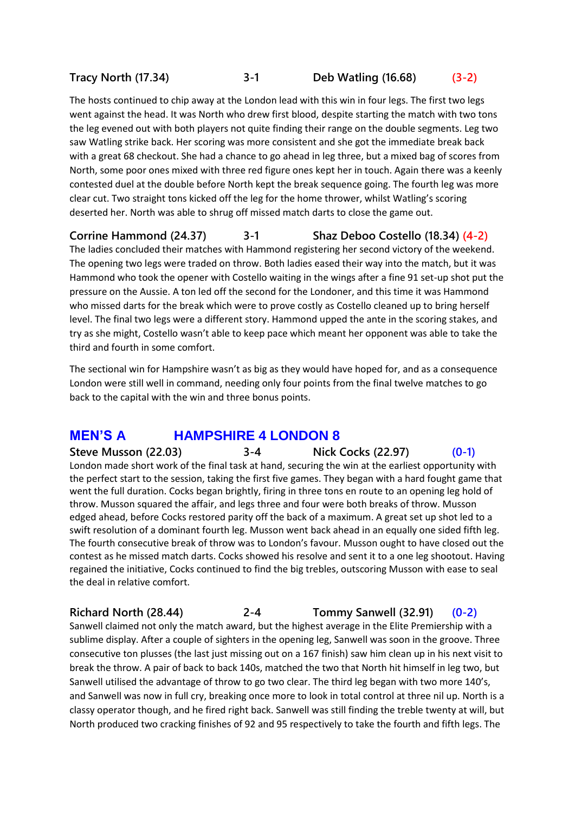### **Tracy North (17.34) 3-1 Deb Watling (16.68) (3-2)**

The hosts continued to chip away at the London lead with this win in four legs. The first two legs went against the head. It was North who drew first blood, despite starting the match with two tons the leg evened out with both players not quite finding their range on the double segments. Leg two saw Watling strike back. Her scoring was more consistent and she got the immediate break back with a great 68 checkout. She had a chance to go ahead in leg three, but a mixed bag of scores from North, some poor ones mixed with three red figure ones kept her in touch. Again there was a keenly contested duel at the double before North kept the break sequence going. The fourth leg was more clear cut. Two straight tons kicked off the leg for the home thrower, whilst Watling's scoring deserted her. North was able to shrug off missed match darts to close the game out.

**Corrine Hammond (24.37) 3-1 Shaz Deboo Costello (18.34) (4-2)** The ladies concluded their matches with Hammond registering her second victory of the weekend. The opening two legs were traded on throw. Both ladies eased their way into the match, but it was

Hammond who took the opener with Costello waiting in the wings after a fine 91 set-up shot put the pressure on the Aussie. A ton led off the second for the Londoner, and this time it was Hammond who missed darts for the break which were to prove costly as Costello cleaned up to bring herself level. The final two legs were a different story. Hammond upped the ante in the scoring stakes, and try as she might, Costello wasn't able to keep pace which meant her opponent was able to take the third and fourth in some comfort.

The sectional win for Hampshire wasn't as big as they would have hoped for, and as a consequence London were still well in command, needing only four points from the final twelve matches to go back to the capital with the win and three bonus points.

# **MEN'S A HAMPSHIRE 4 LONDON 8**

**Steve Musson (22.03) 3-4 Nick Cocks (22.97) (0-1)** London made short work of the final task at hand, securing the win at the earliest opportunity with the perfect start to the session, taking the first five games. They began with a hard fought game that went the full duration. Cocks began brightly, firing in three tons en route to an opening leg hold of throw. Musson squared the affair, and legs three and four were both breaks of throw. Musson edged ahead, before Cocks restored parity off the back of a maximum. A great set up shot led to a swift resolution of a dominant fourth leg. Musson went back ahead in an equally one sided fifth leg. The fourth consecutive break of throw was to London's favour. Musson ought to have closed out the contest as he missed match darts. Cocks showed his resolve and sent it to a one leg shootout. Having regained the initiative, Cocks continued to find the big trebles, outscoring Musson with ease to seal the deal in relative comfort.

**Richard North (28.44) 2-4 Tommy Sanwell (32.91) (0-2)**

Sanwell claimed not only the match award, but the highest average in the Elite Premiership with a sublime display. After a couple of sighters in the opening leg, Sanwell was soon in the groove. Three consecutive ton plusses (the last just missing out on a 167 finish) saw him clean up in his next visit to break the throw. A pair of back to back 140s, matched the two that North hit himself in leg two, but Sanwell utilised the advantage of throw to go two clear. The third leg began with two more 140's, and Sanwell was now in full cry, breaking once more to look in total control at three nil up. North is a classy operator though, and he fired right back. Sanwell was still finding the treble twenty at will, but North produced two cracking finishes of 92 and 95 respectively to take the fourth and fifth legs. The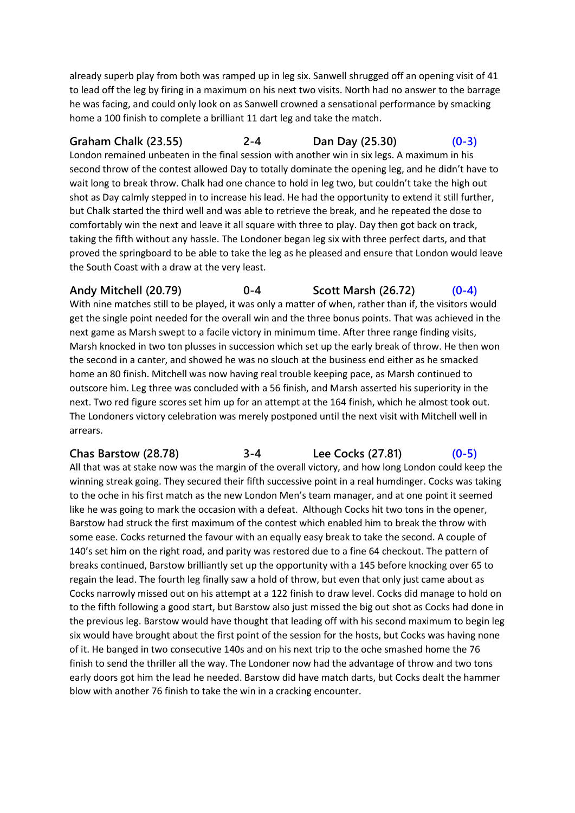already superb play from both was ramped up in leg six. Sanwell shrugged off an opening visit of 41 to lead off the leg by firing in a maximum on his next two visits. North had no answer to the barrage he was facing, and could only look on as Sanwell crowned a sensational performance by smacking home a 100 finish to complete a brilliant 11 dart leg and take the match.

**Graham Chalk (23.55) 2-4 Dan Day (25.30) (0-3)** London remained unbeaten in the final session with another win in six legs. A maximum in his second throw of the contest allowed Day to totally dominate the opening leg, and he didn't have to wait long to break throw. Chalk had one chance to hold in leg two, but couldn't take the high out shot as Day calmly stepped in to increase his lead. He had the opportunity to extend it still further, but Chalk started the third well and was able to retrieve the break, and he repeated the dose to comfortably win the next and leave it all square with three to play. Day then got back on track, taking the fifth without any hassle. The Londoner began leg six with three perfect darts, and that proved the springboard to be able to take the leg as he pleased and ensure that London would leave the South Coast with a draw at the very least.

**Andy Mitchell (20.79) 0-4 Scott Marsh (26.72) (0-4)** With nine matches still to be played, it was only a matter of when, rather than if, the visitors would get the single point needed for the overall win and the three bonus points. That was achieved in the next game as Marsh swept to a facile victory in minimum time. After three range finding visits, Marsh knocked in two ton plusses in succession which set up the early break of throw. He then won the second in a canter, and showed he was no slouch at the business end either as he smacked home an 80 finish. Mitchell was now having real trouble keeping pace, as Marsh continued to outscore him. Leg three was concluded with a 56 finish, and Marsh asserted his superiority in the next. Two red figure scores set him up for an attempt at the 164 finish, which he almost took out. The Londoners victory celebration was merely postponed until the next visit with Mitchell well in arrears.

**Chas Barstow (28.78) 3-4 Lee Cocks (27.81) (0-5)** All that was at stake now was the margin of the overall victory, and how long London could keep the winning streak going. They secured their fifth successive point in a real humdinger. Cocks was taking to the oche in his first match as the new London Men's team manager, and at one point it seemed like he was going to mark the occasion with a defeat. Although Cocks hit two tons in the opener, Barstow had struck the first maximum of the contest which enabled him to break the throw with some ease. Cocks returned the favour with an equally easy break to take the second. A couple of 140's set him on the right road, and parity was restored due to a fine 64 checkout. The pattern of breaks continued, Barstow brilliantly set up the opportunity with a 145 before knocking over 65 to regain the lead. The fourth leg finally saw a hold of throw, but even that only just came about as Cocks narrowly missed out on his attempt at a 122 finish to draw level. Cocks did manage to hold on to the fifth following a good start, but Barstow also just missed the big out shot as Cocks had done in the previous leg. Barstow would have thought that leading off with his second maximum to begin leg six would have brought about the first point of the session for the hosts, but Cocks was having none of it. He banged in two consecutive 140s and on his next trip to the oche smashed home the 76 finish to send the thriller all the way. The Londoner now had the advantage of throw and two tons early doors got him the lead he needed. Barstow did have match darts, but Cocks dealt the hammer blow with another 76 finish to take the win in a cracking encounter.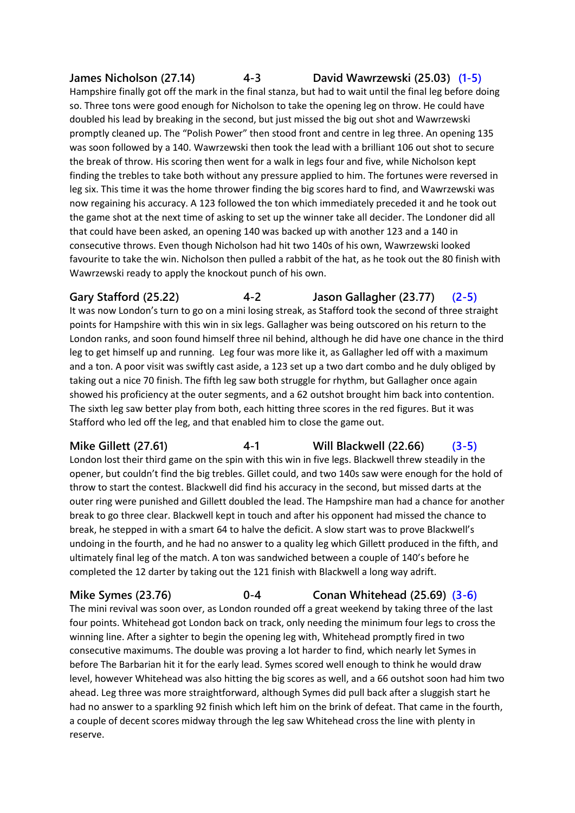# **James Nicholson (27.14) 4-3 David Wawrzewski (25.03) (1-5)**

Hampshire finally got off the mark in the final stanza, but had to wait until the final leg before doing so. Three tons were good enough for Nicholson to take the opening leg on throw. He could have doubled his lead by breaking in the second, but just missed the big out shot and Wawrzewski promptly cleaned up. The "Polish Power" then stood front and centre in leg three. An opening 135 was soon followed by a 140. Wawrzewski then took the lead with a brilliant 106 out shot to secure the break of throw. His scoring then went for a walk in legs four and five, while Nicholson kept finding the trebles to take both without any pressure applied to him. The fortunes were reversed in leg six. This time it was the home thrower finding the big scores hard to find, and Wawrzewski was now regaining his accuracy. A 123 followed the ton which immediately preceded it and he took out the game shot at the next time of asking to set up the winner take all decider. The Londoner did all that could have been asked, an opening 140 was backed up with another 123 and a 140 in consecutive throws. Even though Nicholson had hit two 140s of his own, Wawrzewski looked favourite to take the win. Nicholson then pulled a rabbit of the hat, as he took out the 80 finish with Wawrzewski ready to apply the knockout punch of his own.

**Gary Stafford (25.22) 4-2 Jason Gallagher (23.77) (2-5)** It was now London's turn to go on a mini losing streak, as Stafford took the second of three straight points for Hampshire with this win in six legs. Gallagher was being outscored on his return to the London ranks, and soon found himself three nil behind, although he did have one chance in the third leg to get himself up and running. Leg four was more like it, as Gallagher led off with a maximum and a ton. A poor visit was swiftly cast aside, a 123 set up a two dart combo and he duly obliged by taking out a nice 70 finish. The fifth leg saw both struggle for rhythm, but Gallagher once again showed his proficiency at the outer segments, and a 62 outshot brought him back into contention. The sixth leg saw better play from both, each hitting three scores in the red figures. But it was Stafford who led off the leg, and that enabled him to close the game out.

**Mike Gillett (27.61) 4-1 Will Blackwell (22.66) (3-5)** London lost their third game on the spin with this win in five legs. Blackwell threw steadily in the opener, but couldn't find the big trebles. Gillet could, and two 140s saw were enough for the hold of

throw to start the contest. Blackwell did find his accuracy in the second, but missed darts at the outer ring were punished and Gillett doubled the lead. The Hampshire man had a chance for another break to go three clear. Blackwell kept in touch and after his opponent had missed the chance to break, he stepped in with a smart 64 to halve the deficit. A slow start was to prove Blackwell's undoing in the fourth, and he had no answer to a quality leg which Gillett produced in the fifth, and ultimately final leg of the match. A ton was sandwiched between a couple of 140's before he completed the 12 darter by taking out the 121 finish with Blackwell a long way adrift.

**Mike Symes (23.76) 0-4 Conan Whitehead (25.69) (3-6)** The mini revival was soon over, as London rounded off a great weekend by taking three of the last four points. Whitehead got London back on track, only needing the minimum four legs to cross the winning line. After a sighter to begin the opening leg with, Whitehead promptly fired in two consecutive maximums. The double was proving a lot harder to find, which nearly let Symes in before The Barbarian hit it for the early lead. Symes scored well enough to think he would draw level, however Whitehead was also hitting the big scores as well, and a 66 outshot soon had him two ahead. Leg three was more straightforward, although Symes did pull back after a sluggish start he had no answer to a sparkling 92 finish which left him on the brink of defeat. That came in the fourth, a couple of decent scores midway through the leg saw Whitehead cross the line with plenty in reserve.